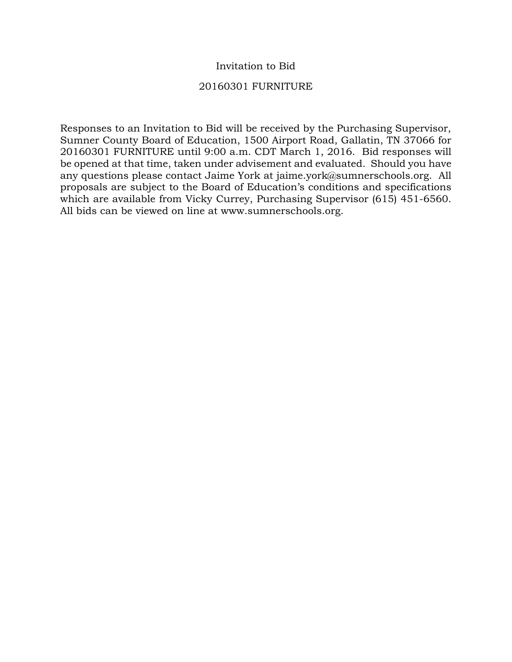## Invitation to Bid

### 20160301 FURNITURE

Responses to an Invitation to Bid will be received by the Purchasing Supervisor, Sumner County Board of Education, 1500 Airport Road, Gallatin, TN 37066 for 20160301 FURNITURE until 9:00 a.m. CDT March 1, 2016. Bid responses will be opened at that time, taken under advisement and evaluated. Should you have any questions please contact Jaime York at jaime.york@sumnerschools.org. All proposals are subject to the Board of Education's conditions and specifications which are available from Vicky Currey, Purchasing Supervisor (615) 451-6560. All bids can be viewed on line at www.sumnerschools.org.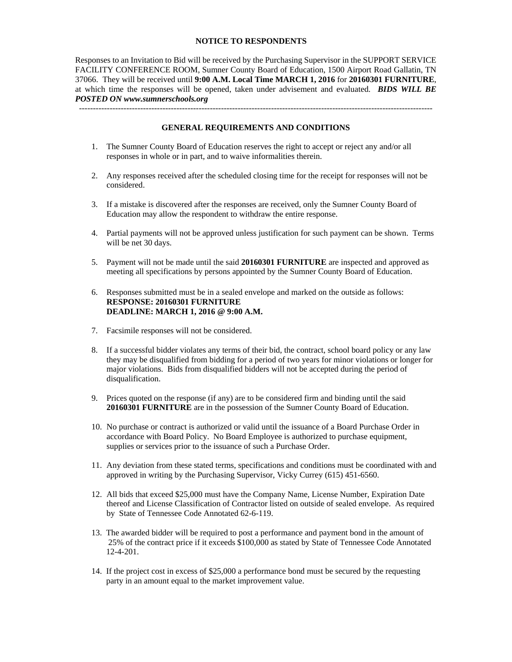#### **NOTICE TO RESPONDENTS**

Responses to an Invitation to Bid will be received by the Purchasing Supervisor in the SUPPORT SERVICE FACILITY CONFERENCE ROOM, Sumner County Board of Education, 1500 Airport Road Gallatin, TN 37066. They will be received until **9:00 A.M. Local Time MARCH 1, 2016** for **20160301 FURNITURE**, at which time the responses will be opened, taken under advisement and evaluated. *BIDS WILL BE POSTED ON www.sumnerschools.org* 

#### **GENERAL REQUIREMENTS AND CONDITIONS**

-------------------------------------------------------------------------------------------------------------------------------

- 1. The Sumner County Board of Education reserves the right to accept or reject any and/or all responses in whole or in part, and to waive informalities therein.
- 2. Any responses received after the scheduled closing time for the receipt for responses will not be considered.
- 3. If a mistake is discovered after the responses are received, only the Sumner County Board of Education may allow the respondent to withdraw the entire response.
- 4. Partial payments will not be approved unless justification for such payment can be shown. Terms will be net 30 days.
- 5. Payment will not be made until the said **20160301 FURNITURE** are inspected and approved as meeting all specifications by persons appointed by the Sumner County Board of Education.
- 6. Responses submitted must be in a sealed envelope and marked on the outside as follows: **RESPONSE: 20160301 FURNITURE DEADLINE: MARCH 1, 2016 @ 9:00 A.M.**
- 7. Facsimile responses will not be considered.
- 8. If a successful bidder violates any terms of their bid, the contract, school board policy or any law they may be disqualified from bidding for a period of two years for minor violations or longer for major violations. Bids from disqualified bidders will not be accepted during the period of disqualification.
- 9. Prices quoted on the response (if any) are to be considered firm and binding until the said **20160301 FURNITURE** are in the possession of the Sumner County Board of Education.
- 10. No purchase or contract is authorized or valid until the issuance of a Board Purchase Order in accordance with Board Policy. No Board Employee is authorized to purchase equipment, supplies or services prior to the issuance of such a Purchase Order.
- 11. Any deviation from these stated terms, specifications and conditions must be coordinated with and approved in writing by the Purchasing Supervisor, Vicky Currey (615) 451-6560.
- 12. All bids that exceed \$25,000 must have the Company Name, License Number, Expiration Date thereof and License Classification of Contractor listed on outside of sealed envelope. As required by State of Tennessee Code Annotated 62-6-119.
- 13. The awarded bidder will be required to post a performance and payment bond in the amount of 25% of the contract price if it exceeds \$100,000 as stated by State of Tennessee Code Annotated 12-4-201.
- 14. If the project cost in excess of \$25,000 a performance bond must be secured by the requesting party in an amount equal to the market improvement value.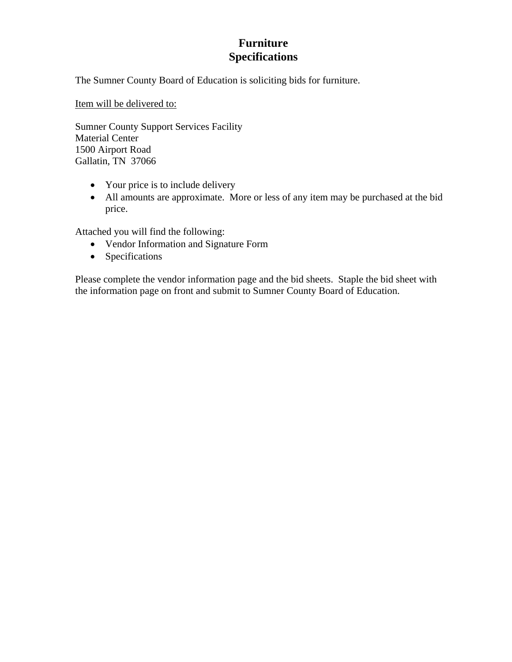## **Furniture Specifications**

The Sumner County Board of Education is soliciting bids for furniture.

Item will be delivered to:

Sumner County Support Services Facility Material Center 1500 Airport Road Gallatin, TN 37066

- Your price is to include delivery
- All amounts are approximate. More or less of any item may be purchased at the bid price.

Attached you will find the following:

- Vendor Information and Signature Form
- Specifications

Please complete the vendor information page and the bid sheets. Staple the bid sheet with the information page on front and submit to Sumner County Board of Education.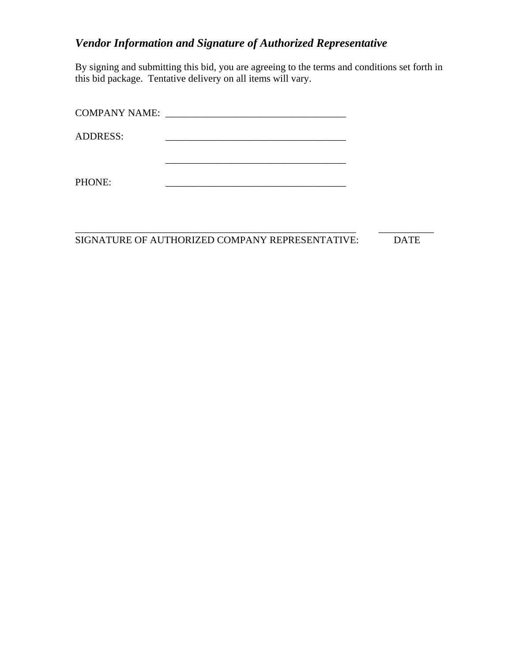# *Vendor Information and Signature of Authorized Representative*

By signing and submitting this bid, you are agreeing to the terms and conditions set forth in this bid package. Tentative delivery on all items will vary.

| COMPANY NAME:   |  |
|-----------------|--|
| <b>ADDRESS:</b> |  |
|                 |  |
| PHONE:          |  |

\_\_\_\_\_\_\_\_\_\_\_\_\_\_\_\_\_\_\_\_\_\_\_\_\_\_\_\_\_\_\_\_\_\_\_\_\_\_\_\_\_\_\_\_\_\_\_\_\_\_\_\_\_\_\_\_ \_\_\_\_\_\_\_\_\_\_\_ SIGNATURE OF AUTHORIZED COMPANY REPRESENTATIVE: DATE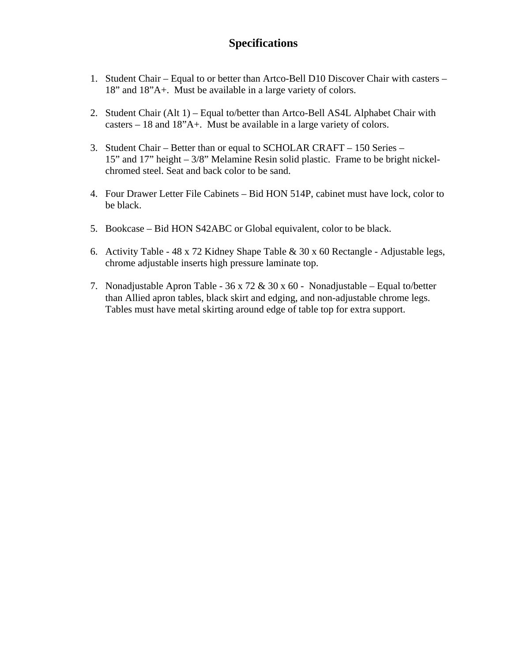# **Specifications**

- 1. Student Chair Equal to or better than Artco-Bell D10 Discover Chair with casters 18" and 18"A+. Must be available in a large variety of colors.
- 2. Student Chair (Alt 1) Equal to/better than Artco-Bell AS4L Alphabet Chair with casters – 18 and 18"A+. Must be available in a large variety of colors.
- 3. Student Chair Better than or equal to SCHOLAR CRAFT 150 Series 15" and 17" height – 3/8" Melamine Resin solid plastic. Frame to be bright nickelchromed steel. Seat and back color to be sand.
- 4. Four Drawer Letter File Cabinets Bid HON 514P, cabinet must have lock, color to be black.
- 5. Bookcase Bid HON S42ABC or Global equivalent, color to be black.
- 6. Activity Table 48 x 72 Kidney Shape Table & 30 x 60 Rectangle Adjustable legs, chrome adjustable inserts high pressure laminate top.
- 7. Nonadjustable Apron Table 36 x 72 & 30 x 60 Nonadjustable Equal to/better than Allied apron tables, black skirt and edging, and non-adjustable chrome legs. Tables must have metal skirting around edge of table top for extra support.